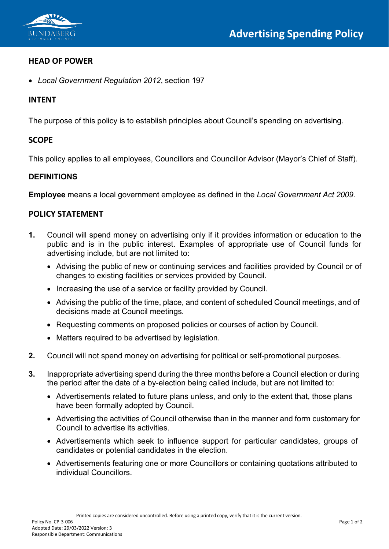

### **HEAD OF POWER**

• *Local Government Regulation 2012*, section 197

# **INTENT**

The purpose of this policy is to establish principles about Council's spending on advertising.

## **SCOPE**

This policy applies to all employees, Councillors and Councillor Advisor (Mayor's Chief of Staff).

### **DEFINITIONS**

**Employee** means a local government employee as defined in the *Local Government Act 2009*.

## **POLICY STATEMENT**

- **1.** Council will spend money on advertising only if it provides information or education to the public and is in the public interest. Examples of appropriate use of Council funds for advertising include, but are not limited to:
	- Advising the public of new or continuing services and facilities provided by Council or of changes to existing facilities or services provided by Council.
	- Increasing the use of a service or facility provided by Council.
	- Advising the public of the time, place, and content of scheduled Council meetings, and of decisions made at Council meetings.
	- Requesting comments on proposed policies or courses of action by Council.
	- Matters required to be advertised by legislation.
- **2.** Council will not spend money on advertising for political or self-promotional purposes.
- **3.** Inappropriate advertising spend during the three months before a Council election or during the period after the date of a by-election being called include, but are not limited to:
	- Advertisements related to future plans unless, and only to the extent that, those plans have been formally adopted by Council.
	- Advertising the activities of Council otherwise than in the manner and form customary for Council to advertise its activities.
	- Advertisements which seek to influence support for particular candidates, groups of candidates or potential candidates in the election.
	- Advertisements featuring one or more Councillors or containing quotations attributed to individual Councillors.